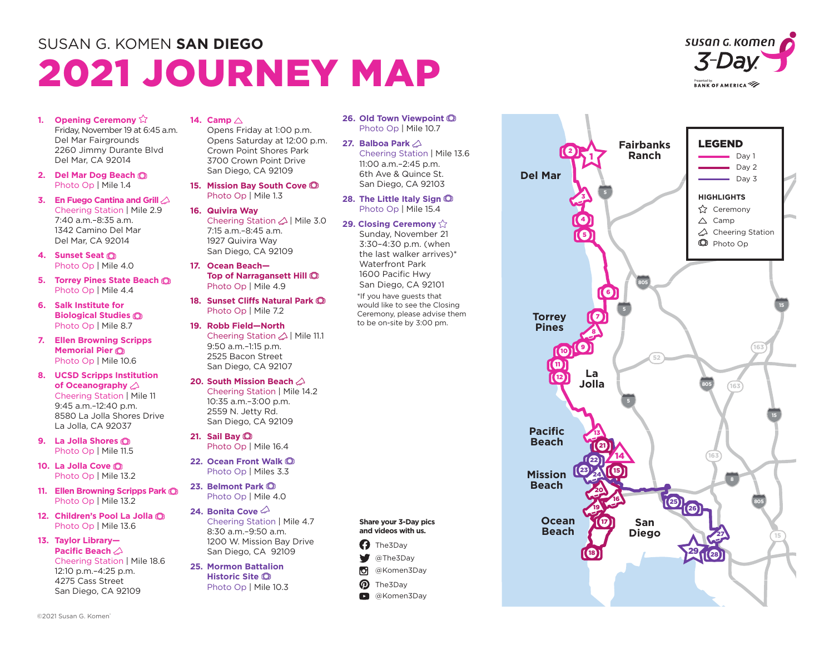# SUSAN G. KOMEN **SAN DIEGO** 2021 JOURNEY MAP



- **1. Opening Ceremony**  $\hat{\mathbb{Q}}$ Friday, November 19 at 6:45 a.m. Del Mar Fairgrounds 2260 Jimmy Durante Blvd Del Mar, CA 92014
- **2. Del Mar Dog Beach**  Photo Op | Mile 1.4
- **3. En Fuego Cantina and Grill**  Cheering Station | Mile 2.9 7:40 a.m.–8:35 a.m. 1342 Camino Del Mar Del Mar, CA 92014
- **4. Sunset Seat**  Photo Op | Mile 4.0
- **5. Torrey Pines State Beach**  Photo Op | Mile 4.4
- **6. Salk Institute for Biological Studies**  Photo Op | Mile 8.7
- **7. Ellen Browning Scripps Memorial Pier**  Photo Op | Mile 10.6
- **8. UCSD Scripps Institution of Oceanography**  Cheering Station | Mile 11 9:45 a.m.–12:40 p.m. 8580 La Jolla Shores Drive La Jolla, CA 92037
- **9. La Jolla Shores** Photo Op | Mile 11.5
- **10. La Jolla Cove** Photo Op | Mile 13.2
- **11. Ellen Browning Scripps Park** Photo Op | Mile 13.2
- **12. Children's Pool La Jolla** Photo Op | Mile 13.6
- **13. Taylor Library— Pacific Beach**  Cheering Station | Mile 18.6 12:10 p.m.–4:25 p.m. 4275 Cass Street San Diego, CA 92109

### **14. Camp**

Opens Friday at 1:00 p.m. Opens Saturday at 12:00 p.m. Crown Point Shores Park 3700 Crown Point Drive San Diego, CA 92109

- **15. Mission Bay South Cove**  Photo Op | Mile 1.3
- **16. Quivira Way** Cheering Station  $\triangle$  | Mile 3.0 7:15 a.m.–8:45 a.m. 1927 Quivira Way San Diego, CA 92109
- **17. Ocean Beach— Top of Narragansett Hill**  Photo Op | Mile 4.9
- **18. Sunset Cliffs Natural Park**  Photo Op | Mile 7.2
- **19. Robb Field—North** Cheering Station <a> 9:50 a.m.–1:15 p.m. 2525 Bacon Street San Diego, CA 92107
- **20. South Mission Beach**  Cheering Station | Mile 14.2 10:35 a.m.–3:00 p.m. 2559 N. Jetty Rd. San Diego, CA 92109
- **21. Sail Bay**  Photo Op | Mile 16.4
- **22. Ocean Front Walk** Photo Op | Miles 3.3
- **23. Belmont Park** Photo Op | Mile 4.0
- **24. Bonita Cove** Cheering Station | Mile 4.7 8:30 a.m.–9:50 a.m. 1200 W. Mission Bay Drive San Diego, CA 92109
- **25. Mormon Battalion Historic Site** Photo Op | Mile 10.3
- **26. Old Town Viewpoint** Photo Op | Mile 10.7
- **27. Balboa Park**  Cheering Station | Mile 13.6 11:00 a.m.–2:45 p.m. 6th Ave & Quince St. San Diego, CA 92103
- **28. The Little Italy Sign** Photo Op | Mile 15.4
- **29. Closing Ceremony**

**Share your 3-Day pics and videos with us. C** The3Day @The3Day @Komen3Day The3Day **D** @Komen3Dav

v м ൫

Sunday, November 21 3:30–4:30 p.m. (when the last walker arrives)\* Waterfront Park 1600 Pacific Hwy San Diego, CA 92101 \*If you have guests that would like to see the Closing Ceremony, please advise them to be on-site by 3:00 pm.